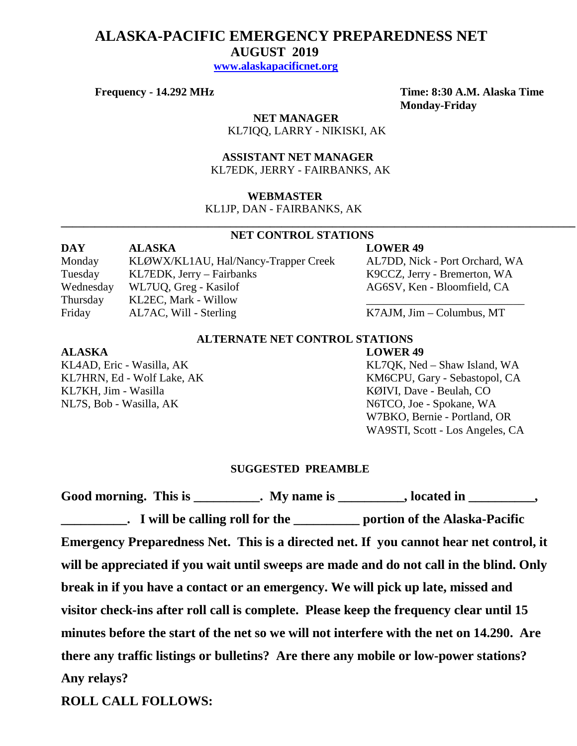# **ALASKA-PACIFIC EMERGENCY PREPAREDNESS NET AUGUST 2019 [www.alaskapacificnet.org](http://www.alaskapacificnet.org/)**

 **NET MANAGER** KL7IQQ, LARRY - NIKISKI, AK

 **ASSISTANT NET MANAGER**  KL7EDK, JERRY - FAIRBANKS, AK

## **WEBMASTER**

KL1JP, DAN - FAIRBANKS, AK

### **NET CONTROL STATIONS**

**\_\_\_\_\_\_\_\_\_\_\_\_\_\_\_\_\_\_\_\_\_\_\_\_\_\_\_\_\_\_\_\_\_\_\_\_\_\_\_\_\_\_\_\_\_\_\_\_\_\_\_\_\_\_\_\_\_\_\_\_\_\_\_\_\_\_\_\_\_\_\_\_\_\_\_\_\_\_\_\_\_\_\_\_\_\_\_\_\_\_\_**

**DAY ALASKA LOWER 49** Monday KLØWX/KL1AU, Hal/Nancy-Trapper Creek AL7DD, Nick - Port Orchard, WA Tuesday KL7EDK, Jerry – Fairbanks K9CCZ, Jerry - Bremerton, WA Wednesday WL7UQ, Greg - Kasilof AG6SV, Ken - Bloomfield, CA Thursday KL2EC, Mark - Willow Friday AL7AC, Will - Sterling K7AJM, Jim – Columbus, MT

# **ALTERNATE NET CONTROL STATIONS**

# **ALASKA LOWER 49**

KL7KH, Jim - Wasilla KØIVI, Dave - Beulah, CO NL7S, Bob - Wasilla, AK N6TCO, Joe - Spokane, WA

KL4AD, Eric - Wasilla, AK KL7QK, Ned – Shaw Island, WA KL7HRN, Ed - Wolf Lake, AK KM6CPU, Gary - Sebastopol, CA W7BKO, Bernie - Portland, OR WA9STI, Scott - Los Angeles, CA

## **SUGGESTED PREAMBLE**

| Good morning. This is ___________. My name is __________, located in _________,          |  |
|------------------------------------------------------------------------------------------|--|
| <b>EXECUTE:</b> I will be calling roll for the <u>example of the Alaska-Pacific</u>      |  |
| Emergency Preparedness Net. This is a directed net. If you cannot hear net control, it   |  |
| will be appreciated if you wait until sweeps are made and do not call in the blind. Only |  |
| break in if you have a contact or an emergency. We will pick up late, missed and         |  |
| visitor check-ins after roll call is complete. Please keep the frequency clear until 15  |  |
| minutes before the start of the net so we will not interfere with the net on 14.290. Are |  |
| there any traffic listings or bulletins? Are there any mobile or low-power stations?     |  |
| Any relays?                                                                              |  |

**ROLL CALL FOLLOWS:**

**Frequency - 14.292 MHz Time: 8:30 A.M. Alaska Time Monday-Friday**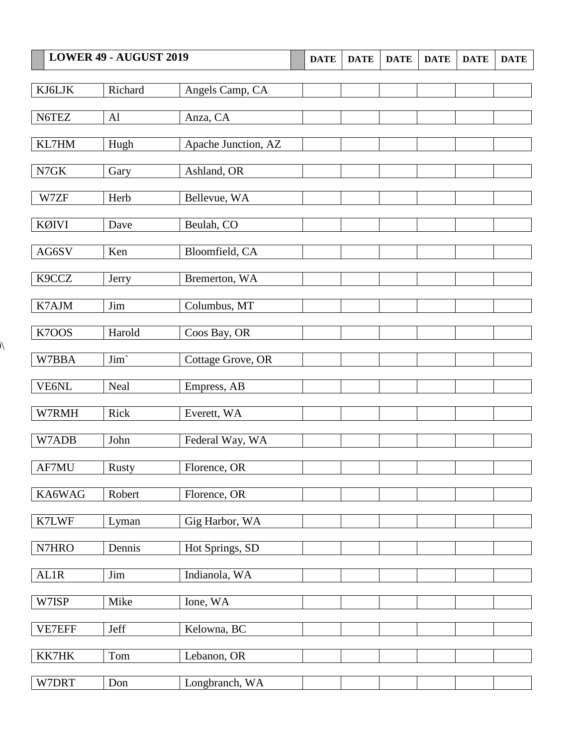|             | LOWER 49 - AUGUST 2019 |                     | <b>DATE</b> | <b>DATE</b> | <b>DATE</b> | <b>DATE</b> | <b>DATE</b> | <b>DATE</b> |
|-------------|------------------------|---------------------|-------------|-------------|-------------|-------------|-------------|-------------|
|             |                        |                     |             |             |             |             |             |             |
| KJ6LJK      | Richard                | Angels Camp, CA     |             |             |             |             |             |             |
| N6TEZ       | Al                     | Anza, CA            |             |             |             |             |             |             |
|             |                        |                     |             |             |             |             |             |             |
| KL7HM       | Hugh                   | Apache Junction, AZ |             |             |             |             |             |             |
| N7GK        | Gary                   | Ashland, OR         |             |             |             |             |             |             |
|             |                        |                     |             |             |             |             |             |             |
| W7ZF        | Herb                   | Bellevue, WA        |             |             |             |             |             |             |
| KØIVI       | Dave                   | Beulah, CO          |             |             |             |             |             |             |
|             |                        |                     |             |             |             |             |             |             |
| AG6SV       | Ken                    | Bloomfield, CA      |             |             |             |             |             |             |
| K9CCZ       | Jerry                  | Bremerton, WA       |             |             |             |             |             |             |
|             |                        |                     |             |             |             |             |             |             |
| K7AJM       | Jim                    | Columbus, MT        |             |             |             |             |             |             |
| K7OOS       |                        |                     |             |             |             |             |             |             |
|             | Harold                 | Coos Bay, OR        |             |             |             |             |             |             |
| W7BBA       | Jim'                   | Cottage Grove, OR   |             |             |             |             |             |             |
|             |                        |                     |             |             |             |             |             |             |
| VE6NL       | Neal                   | Empress, AB         |             |             |             |             |             |             |
| W7RMH       | Rick                   | Everett, WA         |             |             |             |             |             |             |
|             |                        |                     |             |             |             |             |             |             |
| W7ADB       | John                   | Federal Way, WA     |             |             |             |             |             |             |
| AF7MU       | <b>Rusty</b>           | Florence, OR        |             |             |             |             |             |             |
|             |                        |                     |             |             |             |             |             |             |
| KA6WAG      | Robert                 | Florence, OR        |             |             |             |             |             |             |
| K7LWF       | Lyman                  | Gig Harbor, WA      |             |             |             |             |             |             |
|             |                        |                     |             |             |             |             |             |             |
| N7HRO       | Dennis                 | Hot Springs, SD     |             |             |             |             |             |             |
| <b>AL1R</b> | Jim                    | Indianola, WA       |             |             |             |             |             |             |
|             |                        |                     |             |             |             |             |             |             |
| W7ISP       | Mike                   | Ione, WA            |             |             |             |             |             |             |
| VE7EFF      | Jeff                   | Kelowna, BC         |             |             |             |             |             |             |
|             |                        |                     |             |             |             |             |             |             |
| KK7HK       | Tom                    | Lebanon, OR         |             |             |             |             |             |             |
| W7DRT       | Don                    | Longbranch, WA      |             |             |             |             |             |             |
|             |                        |                     |             |             |             |             |             |             |

 $\overline{\mathcal{N}}$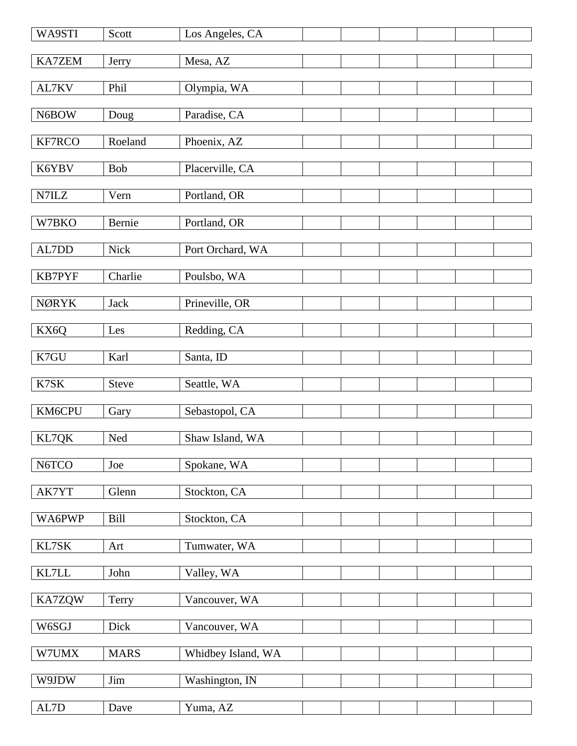| WA9STI                      | Scott        | Los Angeles, CA    |  |  |  |
|-----------------------------|--------------|--------------------|--|--|--|
| KA7ZEM                      | Jerry        | Mesa, AZ           |  |  |  |
| AL7KV                       | Phil         | Olympia, WA        |  |  |  |
| N6BOW                       | Doug         | Paradise, CA       |  |  |  |
|                             |              |                    |  |  |  |
| KF7RCO                      | Roeland      | Phoenix, AZ        |  |  |  |
| K6YBV                       | Bob          | Placerville, CA    |  |  |  |
| $\ensuremath{\text{N7ILZ}}$ | Vern         | Portland, OR       |  |  |  |
| W7BKO                       | Bernie       | Portland, OR       |  |  |  |
| AL7DD                       | <b>Nick</b>  | Port Orchard, WA   |  |  |  |
| KB7PYF                      | Charlie      | Poulsbo, WA        |  |  |  |
| <b>NØRYK</b>                | Jack         | Prineville, OR     |  |  |  |
| KX6Q                        | Les          | Redding, CA        |  |  |  |
| K7GU                        | Karl         | Santa, ID          |  |  |  |
| K7SK                        | <b>Steve</b> | Seattle, WA        |  |  |  |
| KM6CPU                      | Gary         | Sebastopol, CA     |  |  |  |
| KL7QK                       | Ned          | Shaw Island, WA    |  |  |  |
| N6TCO                       | Joe          | Spokane, WA        |  |  |  |
| AK7YT                       | Glenn        | Stockton, CA       |  |  |  |
| WA6PWP                      | <b>Bill</b>  | Stockton, CA       |  |  |  |
| KL7SK                       | Art          | Tumwater, WA       |  |  |  |
| $\text{KL7LL}$              | John         | Valley, WA         |  |  |  |
| KA7ZQW                      | Terry        | Vancouver, WA      |  |  |  |
| W6SGJ                       | Dick         | Vancouver, WA      |  |  |  |
| W7UMX                       | <b>MARS</b>  | Whidbey Island, WA |  |  |  |
| W9JDW                       | Jim          | Washington, IN     |  |  |  |
| $\mbox{AL7D}$               | Dave         | Yuma, AZ           |  |  |  |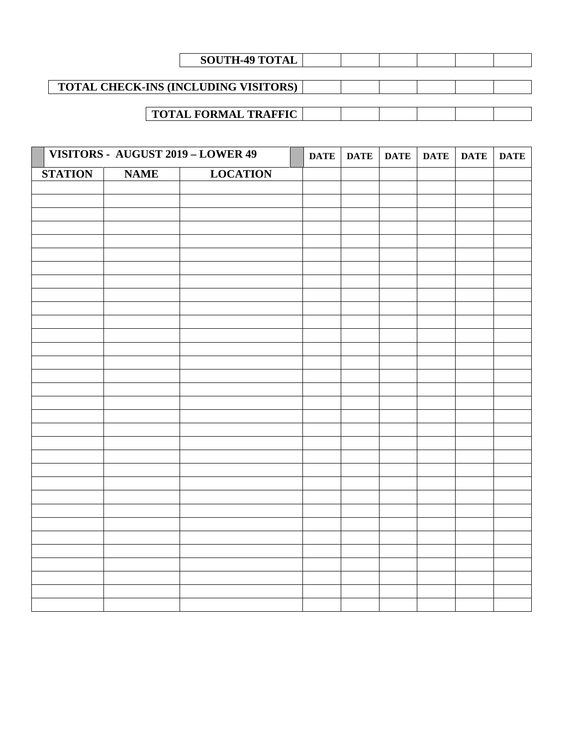| <b>SOUTH-49 TOTAL</b>                       |  |  |  |
|---------------------------------------------|--|--|--|
|                                             |  |  |  |
| <b>TOTAL CHECK-INS (INCLUDING VISITORS)</b> |  |  |  |
|                                             |  |  |  |
| <b>TOTAL FORMAL TRAFFIC</b>                 |  |  |  |

|                |             | VISITORS - AUGUST 2019 - LOWER 49 | <b>DATE</b> | <b>DATE</b> | <b>DATE</b> | <b>DATE</b> | <b>DATE</b> | <b>DATE</b> |
|----------------|-------------|-----------------------------------|-------------|-------------|-------------|-------------|-------------|-------------|
| <b>STATION</b> | <b>NAME</b> | <b>LOCATION</b>                   |             |             |             |             |             |             |
|                |             |                                   |             |             |             |             |             |             |
|                |             |                                   |             |             |             |             |             |             |
|                |             |                                   |             |             |             |             |             |             |
|                |             |                                   |             |             |             |             |             |             |
|                |             |                                   |             |             |             |             |             |             |
|                |             |                                   |             |             |             |             |             |             |
|                |             |                                   |             |             |             |             |             |             |
|                |             |                                   |             |             |             |             |             |             |
|                |             |                                   |             |             |             |             |             |             |
|                |             |                                   |             |             |             |             |             |             |
|                |             |                                   |             |             |             |             |             |             |
|                |             |                                   |             |             |             |             |             |             |
|                |             |                                   |             |             |             |             |             |             |
|                |             |                                   |             |             |             |             |             |             |
|                |             |                                   |             |             |             |             |             |             |
|                |             |                                   |             |             |             |             |             |             |
|                |             |                                   |             |             |             |             |             |             |
|                |             |                                   |             |             |             |             |             |             |
|                |             |                                   |             |             |             |             |             |             |
|                |             |                                   |             |             |             |             |             |             |
|                |             |                                   |             |             |             |             |             |             |
|                |             |                                   |             |             |             |             |             |             |
|                |             |                                   |             |             |             |             |             |             |
|                |             |                                   |             |             |             |             |             |             |
|                |             |                                   |             |             |             |             |             |             |
|                |             |                                   |             |             |             |             |             |             |
|                |             |                                   |             |             |             |             |             |             |
|                |             |                                   |             |             |             |             |             |             |
|                |             |                                   |             |             |             |             |             |             |
|                |             |                                   |             |             |             |             |             |             |
|                |             |                                   |             |             |             |             |             |             |
|                |             |                                   |             |             |             |             |             |             |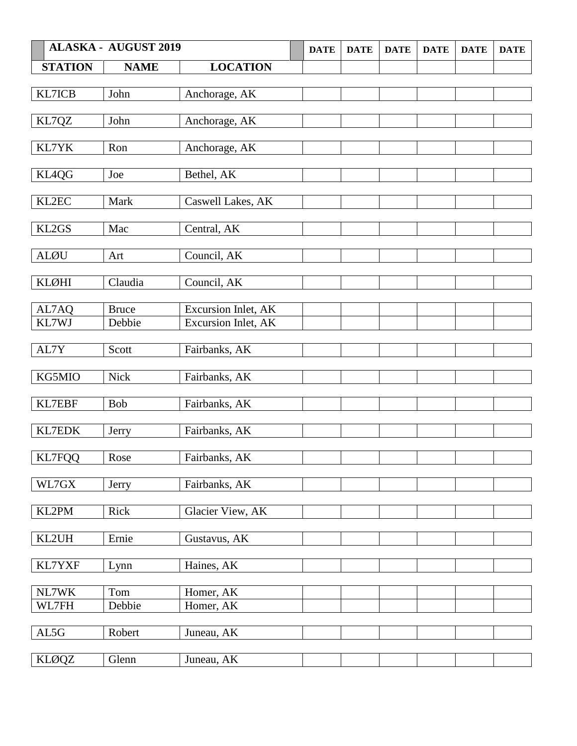|                | <b>ALASKA - AUGUST 2019</b> |                            | <b>DATE</b> | <b>DATE</b> | <b>DATE</b> | <b>DATE</b> | <b>DATE</b> | <b>DATE</b> |
|----------------|-----------------------------|----------------------------|-------------|-------------|-------------|-------------|-------------|-------------|
| <b>STATION</b> | <b>NAME</b>                 | <b>LOCATION</b>            |             |             |             |             |             |             |
|                |                             |                            |             |             |             |             |             |             |
| KL7ICB         | John                        | Anchorage, AK              |             |             |             |             |             |             |
|                |                             |                            |             |             |             |             |             |             |
| KL7QZ          | John                        | Anchorage, AK              |             |             |             |             |             |             |
|                |                             |                            |             |             |             |             |             |             |
| KL7YK          | Ron                         | Anchorage, AK              |             |             |             |             |             |             |
|                |                             |                            |             |             |             |             |             |             |
| KL4QG          | Joe                         | Bethel, AK                 |             |             |             |             |             |             |
|                |                             |                            |             |             |             |             |             |             |
| KL2EC          | Mark                        | Caswell Lakes, AK          |             |             |             |             |             |             |
| KL2GS          | Mac                         |                            |             |             |             |             |             |             |
|                |                             | Central, AK                |             |             |             |             |             |             |
| ALØU           | Art                         | Council, AK                |             |             |             |             |             |             |
|                |                             |                            |             |             |             |             |             |             |
| <b>KLØHI</b>   | Claudia                     | Council, AK                |             |             |             |             |             |             |
|                |                             |                            |             |             |             |             |             |             |
| AL7AQ          | <b>Bruce</b>                | Excursion Inlet, AK        |             |             |             |             |             |             |
| KL7WJ          | Debbie                      | <b>Excursion Inlet, AK</b> |             |             |             |             |             |             |
|                |                             |                            |             |             |             |             |             |             |
| AL7Y           | Scott                       | Fairbanks, AK              |             |             |             |             |             |             |
|                |                             |                            |             |             |             |             |             |             |
| KG5MIO         | Nick                        | Fairbanks, AK              |             |             |             |             |             |             |
|                |                             |                            |             |             |             |             |             |             |
| KL7EBF         | Bob                         | Fairbanks, AK              |             |             |             |             |             |             |
|                |                             |                            |             |             |             |             |             |             |
| KL7EDK         | Jerry                       | Fairbanks, AK              |             |             |             |             |             |             |
|                |                             |                            |             |             |             |             |             |             |
| <b>KL7FQQ</b>  | Rose                        | Fairbanks, AK              |             |             |             |             |             |             |
| WL7GX          |                             | Fairbanks, AK              |             |             |             |             |             |             |
|                | Jerry                       |                            |             |             |             |             |             |             |
| KL2PM          | Rick                        | Glacier View, AK           |             |             |             |             |             |             |
|                |                             |                            |             |             |             |             |             |             |
| KL2UH          | Ernie                       | Gustavus, AK               |             |             |             |             |             |             |
|                |                             |                            |             |             |             |             |             |             |
| KL7YXF         | Lynn                        | Haines, AK                 |             |             |             |             |             |             |
|                |                             |                            |             |             |             |             |             |             |
| NL7WK          | Tom                         | Homer, AK                  |             |             |             |             |             |             |
| WL7FH          | Debbie                      | Homer, AK                  |             |             |             |             |             |             |
|                |                             |                            |             |             |             |             |             |             |
| AL5G           | Robert                      | Juneau, AK                 |             |             |             |             |             |             |
|                |                             |                            |             |             |             |             |             |             |
| <b>KLØQZ</b>   | Glenn                       | Juneau, AK                 |             |             |             |             |             |             |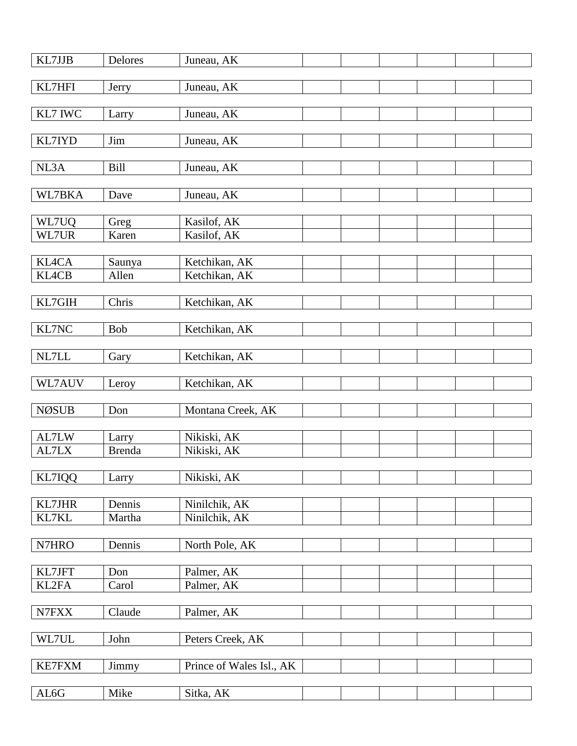| KL7JJB         | Delores                | Juneau, AK                 |  |  |  |
|----------------|------------------------|----------------------------|--|--|--|
| KL7HFI         | Jerry                  | Juneau, AK                 |  |  |  |
|                |                        |                            |  |  |  |
| KL7 IWC        | Larry                  | Juneau, AK                 |  |  |  |
| KL7IYD         | Jim                    | Juneau, AK                 |  |  |  |
| NL3A           | <b>Bill</b>            | Juneau, AK                 |  |  |  |
|                |                        |                            |  |  |  |
| WL7BKA         | Dave                   | Juneau, AK                 |  |  |  |
| WL7UQ          | Greg                   | Kasilof, AK                |  |  |  |
| WL7UR          | Karen                  | Kasilof, AK                |  |  |  |
|                |                        |                            |  |  |  |
| <b>KL4CA</b>   | Saunya                 | Ketchikan, AK              |  |  |  |
| <b>KL4CB</b>   | Allen                  | Ketchikan, AK              |  |  |  |
| KL7GIH         | Chris                  | Ketchikan, AK              |  |  |  |
|                |                        |                            |  |  |  |
| KL7NC          | <b>Bob</b>             | Ketchikan, AK              |  |  |  |
| NL7LL          | Gary                   | Ketchikan, AK              |  |  |  |
|                |                        |                            |  |  |  |
| WL7AUV         | Leroy                  | Ketchikan, AK              |  |  |  |
| <b>NØSUB</b>   | Don                    | Montana Creek, AK          |  |  |  |
|                |                        |                            |  |  |  |
| AL7LW<br>AL7LX | Larry<br><b>Brenda</b> | Nikiski, AK<br>Nikiski, AK |  |  |  |
|                |                        |                            |  |  |  |
| KL7IQQ         | Larry                  | Nikiski, AK                |  |  |  |
|                |                        |                            |  |  |  |
| KL7JHR         | Dennis                 | Ninilchik, AK              |  |  |  |
| KL7KL          | Martha                 | Ninilchik, AK              |  |  |  |
| N7HRO          | Dennis                 | North Pole, AK             |  |  |  |
|                |                        |                            |  |  |  |
| KL7JFT         | Don                    | Palmer, AK                 |  |  |  |
| KL2FA          | Carol                  | Palmer, AK                 |  |  |  |
|                |                        |                            |  |  |  |
| N7FXX          | Claude                 | Palmer, AK                 |  |  |  |
| WL7UL          | John                   | Peters Creek, AK           |  |  |  |
|                |                        |                            |  |  |  |
| <b>KE7FXM</b>  | Jimmy                  | Prince of Wales Isl., AK   |  |  |  |
|                |                        |                            |  |  |  |
| AL6G           | Mike                   | Sitka, AK                  |  |  |  |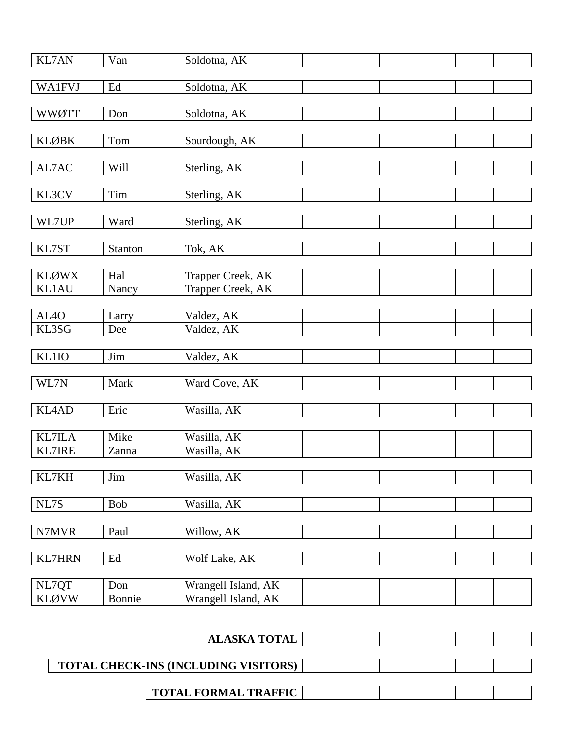| <b>KL7AN</b>      | Van                 | Soldotna, AK        |  |  |  |
|-------------------|---------------------|---------------------|--|--|--|
|                   |                     |                     |  |  |  |
| <b>WA1FVJ</b>     | $\operatorname{Ed}$ | Soldotna, AK        |  |  |  |
| <b>WWØTT</b>      | Don                 | Soldotna, AK        |  |  |  |
|                   |                     |                     |  |  |  |
| <b>KLØBK</b>      | Tom                 | Sourdough, AK       |  |  |  |
| AL7AC             | Will                |                     |  |  |  |
|                   |                     | Sterling, AK        |  |  |  |
| KL3CV             | Tim                 | Sterling, AK        |  |  |  |
|                   |                     |                     |  |  |  |
| WL7UP             | Ward                | Sterling, AK        |  |  |  |
| KL7ST             | Stanton             | Tok, AK             |  |  |  |
|                   |                     |                     |  |  |  |
| <b>KLØWX</b>      | Hal                 | Trapper Creek, AK   |  |  |  |
| <b>KL1AU</b>      | Nancy               | Trapper Creek, AK   |  |  |  |
|                   |                     |                     |  |  |  |
| AL <sub>4</sub> O | Larry               | Valdez, AK          |  |  |  |
| KL3SG             | Dee                 | Valdez, AK          |  |  |  |
| KL1IO             | Jim                 | Valdez, AK          |  |  |  |
|                   |                     |                     |  |  |  |
| WL7N              | Mark                | Ward Cove, AK       |  |  |  |
|                   |                     |                     |  |  |  |
| <b>KL4AD</b>      | Eric                | Wasilla, AK         |  |  |  |
| <b>KL7ILA</b>     | Mike                | Wasilla, AK         |  |  |  |
| KL7IRE            | Zanna               | Wasilla, AK         |  |  |  |
|                   |                     |                     |  |  |  |
| KL7KH             | Jim                 | Wasilla, AK         |  |  |  |
|                   |                     |                     |  |  |  |
| NL7S              | Bob                 | Wasilla, AK         |  |  |  |
| N7MVR             | Paul                | Willow, AK          |  |  |  |
|                   |                     |                     |  |  |  |
| <b>KL7HRN</b>     | $\operatorname{Ed}$ | Wolf Lake, AK       |  |  |  |
|                   |                     |                     |  |  |  |
| NL7QT             | Don                 | Wrangell Island, AK |  |  |  |
| <b>KLØVW</b>      | Bonnie              | Wrangell Island, AK |  |  |  |

| <b>ALASKA TOTAL</b>                         |  |  |  |
|---------------------------------------------|--|--|--|
|                                             |  |  |  |
| <b>TOTAL CHECK-INS (INCLUDING VISITORS)</b> |  |  |  |
|                                             |  |  |  |
| <b>TOTAL FORMAL TRAFFIC</b>                 |  |  |  |